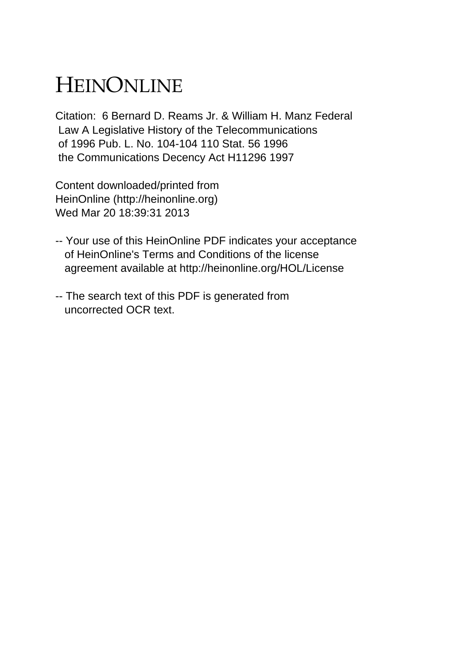# HEINONLINE

Citation: 6 Bernard D. Reams Jr. & William H. Manz Federal Law A Legislative History of the Telecommunications of 1996 Pub. L. No. 104-104 110 Stat. 56 1996 the Communications Decency Act H11296 1997

Content downloaded/printed from HeinOnline (http://heinonline.org) Wed Mar 20 18:39:31 2013

- -- Your use of this HeinOnline PDF indicates your acceptance of HeinOnline's Terms and Conditions of the license agreement available at http://heinonline.org/HOL/License
- -- The search text of this PDF is generated from uncorrected OCR text.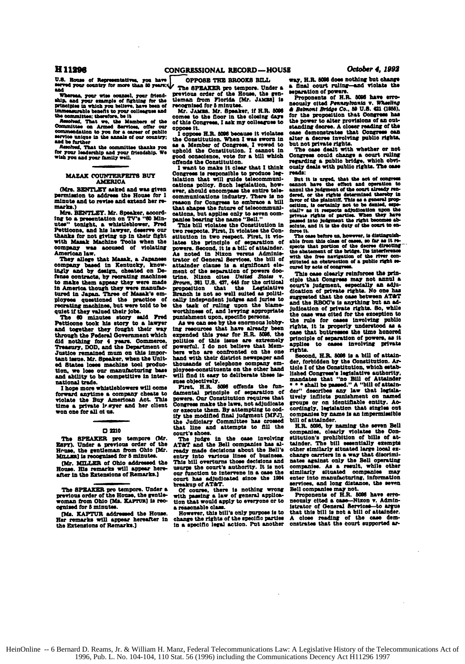U.S. House of Representatives, you have and

and Warreas, your wise counsel, your friend-<br>alip, and your snample of fighting for the principles in which you believe, have been of the<br>immeasurable benefit to your colleagues and the committee; therefore, be it is denot

service unique in the annals of our country.<br>
Resolved, That the committee thanks you<br>
Resolved, That the committee thanks you<br>
for your leaderhip and your friendship. We<br>
wish you and your family well.

#### **MAZAK COUNTERFEITS BUY AMERICA**

(Mrs. BENTLEY asked and was given permission to address the House for 1 minute and to revise and extend her remarks.)

Mrs. BENTLEY. Mr. Speaker, a ing to a presentation on TV's "60 Minutes" tonight, a whistleblower, Fred<br>Petticone, and his lawyer, deserve our thanks for not giving up in their fight<br>with Massk Machine Tools when the<br>company was accused of violating<br>American law.

American isw.<br>They allege that Masak, a Japanese company based in Kentucky, know-<br>ingly and by design, cheated on Detrait functions of the contracts, by recreating machines to make them appear they were made in America though they were manufactured in Japan. Three of Masak's employees questioned the practice of recrating machines, but were told to be

quiet if they valued their jobs.<br>The 60 minutes story said Fred Petticone took his story to a lawyer and together they fought their way did nothing for 4 years. Commerce,<br>Treasury, DOD, and the Department of<br>Justice remained mum on this important issue. Mr. Speaker, when the United States loses machine tool production, we lose our manufacturing base and ability to be competitive in international trade.

I hope more whistleblowers will come forward anytime a company cheats to<br>violate the Buy American Act. This<br>time a private leayer and her client won one for all of us.

#### **C** 2210

The SPEAKER pro tempore (Mr. Earr). Under a previous order of the House, the gentleman from Ohio [Mr. MILLER) is recognised for 5 minutes

Mr. MILLER of Ohio addressed the House. His remarks will appear here-<br>after in the Extensions of Remarks.)

The SPEAKER pro tempore. Under a woman from Ohio (Ms. KAPTUR) is recognised for 5 minutes.

[Ms. KAPTUR addressed the House.<br>Her remarks will appear hereafter in the Extensions of Remarks.]

### OPPORE THE BROOKS BILL

The SPEAKER pro tempore. Under a previous order of the House, the gentleman from Florida (Mr. JAMES) is recognized for 5 minutes.

Mr. JAMES, Mr. Speaker, if H.R. 5096 comes to the floor in the closing days<br>of this Congress. I ask my colleagues to oppose it.

I oppose H.R. 5096 because it violates the Constitution. When I was sworn in<br>as a Member of Congress, I vowed to<br>uphold the Constitution. I cannot in good conscience, vote for a bill which<br>offends the Constitution.

commute that it clear that I think<br>Congress is responsible to produce leg-<br>islation that will guide telecommunications policy. Such legislation, however, should encompass the entire telecommunications industry. There is no ason for Congress to embrace a bill reason for Congress to emimente that a<br>hapes the future of telecommunications, but applies only to seven companies be<br>aring the name "Bell."<br>This bill violates the Constitution in two respects. First, It violates the Const

stitution in two respect. First, it violates the principle of separation of powers. Second, it is a bill of attainder. As noted in Nixon versus Administrator of General Services, the bill of attainder clause is a significant elesummer unusual separation of powers doc-<br>trine. Nixon cites United States v.<br>Brown, 361 U.S. 437, 445 for the oritical<br>proposition that the Legislative ground that the Legislative<br>proposition that the Legislative<br>dily independent judges and juries to the task of ruling upon the blame-<br>worthiness of, and levying appropriate<br>punishment upon, specific persons.

As we can see by the enormous lobbying resources that have already been expended this year for H.R. 5096, the politics of this issue are extremely powerful. I do not believe that Mempoweru... I do not controled on the one-<br>hand with their district newspaper and<br>thousands of telephone company em-<br>thousands of telephone company em-<br>ployees-constituents on the other hand will find it easy to deliberate these is-

sues objectively.<br>
First, H.R. 5096 offends the fun-<br>damental principle of separation of powers. Our Constitution requires that Congress make the laws, not adjudicate Congress make the laws, not suppose the cod-<br>ify the modified final judgment [MFJ],<br>the Judiciary Committee has crossed the Judiciary Committee has crossed<br>that line and attempts to fill the

court's shoes.<br>The judge in the case involving<br>AT&T and the Bell companies has al-AT&T and the Bell companies has al-<br>ready made decisions about the Bell's entry into various lines of business.<br>This bill overturns those decisions and usurps the court's authority. It is not our function to intervene in a case the court has adjudicated since the 1984 reakup of AT&T.

breakup or Alista.<br>Of course, there is nothing wrong<br>with passing a law of general applica-<br>tion that would apply to everyone or to a reasonable clas

However, this bill's only purpose is to<br>change the rights of the specific parties in a specific legal action. Put another

way, H.R. 5096 does nothing but change a final court ruling-and violate the

Proponents of H.R. 5096 have erro-<br>neously oited Pennsylvania v. Wheeling & Belmont Bridge Co., 59 U.S. 421 (1855). for the proposition that Congre a hae on the proposition principal mathematical mathematical standing denote. A closer reading of the case demonstrates that Congress can alter a decree involving public rights, but not private rights.<br>The case dealt with whether or not

The case could change a court ruling<br>regarding a public bridge, which obviously deals with public rights. The case reada.

annul the judgment of the court areas and the property relation of the plaintiff. This as a general properties favor of the plaintiff. This as a general properties of the plaintiff of the primary of the primary continuity solute, and it is the duty of the court to enforce it.

force it.<br>The case before us, however, is distinguish-<br>able from this class of cases, so far as it re-<br>spects that portion of the decree directing<br>the abatement of the bridge. Its interference - 11 with the free navigation of the river concured by acts of congre

This case clearly reinforces the prin-The that Congress may not annul a court's judgment, especially an adjudication of private rights. No one has suggested that the case between AT&T and the RBOC's is anything but an ad-<br>judication of private rights. So, while the case was cited for the exception to the rule for cases involving public rights, it is properly understood as a case that buttres les the time honored principle of separation of powers, as it<br>applies to cases involving private richts.

Becomd. H.R. 5006 is a bill of attainder, forbidden by the Constitution. As ticle I of the Constitution, which established Congress's legislative authority. mandates that "no Bill of Attainder der" describes any law that legislaar" cesorios any law unit on named<br>groups or on identifiable entity. Ac-<br>comingly, legislation that singles out<br>companies by name is an impermissible bill of attainder.

H.R. 5096, by naming the seven Bell companies, clearly violates the Constitution's prohibition of bills of attainder. The bill essentially exempts other similarly situated large local ex-<br>change carriers in a way that discrimiting nates against only the Bell open companies. As a result, while other<br>similarly situated companies may enter into manufacturing, information ervices, and long distance, the seven

Bell companies may not.<br>Proponents of H.R. 5096 have erroneously cited a case--Nixon v. Administrator of General Servicesistrator of General Services-to argue<br>that this bill is not a bill of attainder. A close reading of the case dem-<br>onstrates that the court supported ar-

HeinOnline -- 6 Bernard D. Reams, Jr. & William H. Manz, Federal Telecommunications Law: A Legislative History of the Telecommunications Act of 1996, Pub. L. No. 104-104, 110 Stat. 56 (1996) including the Communications Decency Act H11296 1997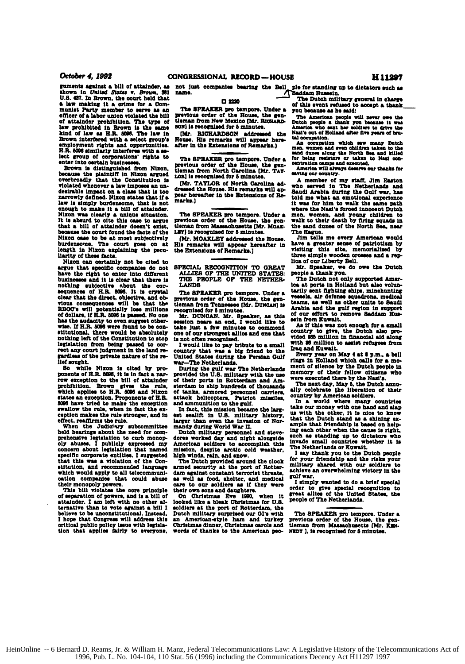### *October 4, 1992* **c**

guments against **a** bill **of** attainder, a shown in **United** Siaes v. *Brown, <sup>381</sup>* **u.** law making it a crime for a Com-<br>munist Party member to serve as an munist Party member to **serve as** an **ofloer** of **a** labor union violated the **bill of** attainder prohibition. The **type** of law prohibited in Brown is **the same** kind of law as **H.R. 06 The** law in Brown interfered with a select group's employment rights and opportunities.<br>H.R. **008** similarly interferes with a select group of **orrorations' rights** to enter into certain businesses.

Brown is distinguished from Nixon. because **the** plaintiff in **Nixon** argued overbroadly that the Constitution is desirable impact on a class that is too narrowly defined. Nixon states that if a not is simply burdenome, that is not enough burdenome, that is not Nixon was clearly a unique situation.<br>It is absurd to cite this case to argue It is abeurd to **cite** this cae to **argue** that **a bill** of attainder doesn't exist. because the court found the facts of the Nixon case to **be at** most subjectively burdensome. The court **goes** on **at** length in Nixon explaining the pecu-<br>liarity of these facts.<br>Nixon can certainly not be oited to

Nixon can certainly not **be** cited to argue that **specific** companies do not have the right to enter Into different businesses and It is **clear** that there is nothing subjective about the cor-<br>sequences of H.R. **5095**. It is crystal clear that the direct, objective, and obclear that the direct, objective, and obvious consequences will be that the RBOC's will potentially lose millions of dollars, if H.R. 5096 is passed. No one has the audacity to even suggest other-<br>wise. If H.R. 5096 were found to be conextra rain chee would be absolutely<br>stitutional, there would be absolutely<br>nothing test of the Constitution to stop<br>legislation from being passed to cor-<br>reot any court judgment in the land re-<br>gardless of the private natu

So while Nixon is cited **by** pro-ponents **of H.R. W0K it in** in fact **a** nar- row exception to the **bill** of attainder prohibition. Brown gives the rule, which **applies** to **H.R. 6O** and Nixon **states an** exception. Proponents **of H.R. 5ON** have tried to make the exception swallow the rule, when **in** ftht the ex- ception makes the rule stronger, **and** In ot, reaffirms the rule.

When the Judiclary subcommittee<br>held hearings about the need for comhere he hearings about the need for complexive legislation to curb monop-<br>oly abuses, **I** publicly expressed my<br>concern about legislation that named<br>specific corporate entities. I suggested specific corporate children is a supposed that this was a violation of the Constitution, and recommended language which would apply to **all** telecommuni-cation companies that could abuse their monopoly powers. This bill violates the core principle **of** separation of powers, and **Is a** bill of

attainder. **I** am **left** with no other **al-**ternative than to vote against **a bill I** believe to **be** unconstitutional. Instead, **<sup>I</sup>**hope that Congress will address this critical public policy Isse with **legisla- tion** that **applies** fairly to everyone,

**1 2220**<br> **1 Daddam Husseln.**<br> **COF The Dutch military general in charge**<br> **1 The Dutch military general refused to accept a thank**<br> **Daviso are the Bouse.**<br> **1 The American people will never ove the Bouldin in the Montes** 

(Mr. RICHARDSON addressed the Nati's out of Holland after five years of bru-<br>House. His remarks will appear here- tal compation.<br>After in the Extensions of Remarks.) <br>man. women and even children taken to the

The SPEAKER pro tempore. Under a for being resistors or taken to Nasi con-<br>revious order of the House, the gen-<br>eman from North Garolina IMs Tax. America will always deserve our thanks for pevious order **of** the House, the **an-** aentration cepe and executed. tlman **from** North Carolina **(Mr.** TAT. **erica** will always **deserve out thaks for** LOR IS recognised for 8 minutes.<br>
LOR IS recognised for 8 minutes.<br>
[Mr. TAYLOR of North Carolina ad-

His remarks will appear hereafter in the Extensions of Remarks.]

## SPECIAL RECOGNITION TO GREAT Mr. Speaker, we do owe the Dutch ALLIES OF THE UNITED STATES: people a thank you.<br>THE PEOPLE OF THE NETHER- The Dutch not only supported Amer-THE PEOPLE **OF** THE NETHER **The** Dutch not only supported Amer-**LANDS ica at** ports in Holland but also volun-

**Mr. DUNOAN. Mr. Speaker, as this of our effort to remove Saddam Hus-**<br>session nears an end. I would like to **mail from Kuwait.** The argue the a small take just a few minutes to commend **As if this was not enough for a small**<br>take just a few minutes to commend country to give, the Dutch also pro-<br>one of our strongest allies and one that

is not often recognised.<br>I with 35 million to assist refugees from<br>country that was a big friend to the Iraq and Kuwait.<br>United States during the Persian Gulf Free year on May 4 at 8 p.m., a bell

provided the U.S. military with the use of their ports in Rotterdam and Amprovided the U.S. military with the use<br>of their ports in Rotterdam and Am-<br>sterdam to ship hundreds of thousands<br>ally celebrate the liberation of their<br>of tanks, armored personnel carriers, of tanks, armored personnel carriers, ally celebrate the liberation of their<br>attack helicopters. Patriot missiles, country by American soldiers.<br>
In a world where many countries<br>
In a world where many countries<br>
In fact th

larger than even the invasion of Nor-<br>mandy during World War II.

mission, despite arctic cold weather, The Netherlands or Kuwait.<br>mission, despite arctic cold weather, I say thank you to the I<br>high winds, rain, and snow.

The Dutch provided around the clock rmed security at the port of Rotterdam against constant terrorist threats, solitove an overwhelming victory in the<br>as well as food, shelter, and medical guilt war.<br>care to our soldiers as if they were of imply wanted to do a brief special<br>their own sons an

On Christmas Eve 1990, when it looked like a bleak Christmas for U.S. soldiers at the port of Rotterdam, the Dutch military surprised our GI's with Dutch military surprised our GI's with The SPEAKER pro tempore. Under a an American-style ham and turkey previous order of the House, the gen-Christmaa dinner, Christmaa carols and tieman from Massachusetts (Mr. KEN-words

not just companies bearing the Bell ple for standing up to diotators such as name.<br>**Raddam Hussein.** The Dutch military general in charge

previous order of the House, the gen-<br>The American people will never owe the<br>deman from New Mexico [Mr. RICHARD- Dutch people a thank you because it was<br>SON] is recognized for 5 minutes. America who sent her soldiers to dr

An occupation which saw many Dutch<br>men, women and even children taken to the<br>sand dunes along the North Bea and stilled<br>for heine resistors or taken to Nasi one-

LOR] is recognised for 5 minutes. A member of my staff, Jim Easton<br>
(Mr. TAYLOR of North Carolina ad- who served in The Netherlands and<br>
dressed the House. His remarks will ap- Saudi Arabia during the Cell war, has<br>
pear h The SPEAKER pro tempore. Under a men, women, and young children to previous order of the House, the gen-walk to their death by firing equads in tieman from Massachusetts [Mr. MoAx. the sand dunes of the North Sea, near The

(Mr. MOAKLEY addressed the House. Jim tells me every American would<br>is remarks will appear hereafter in have a greater sense of patriotism by the Extensions of Remarks.] visiting this site, memorialised by three simple wooden crosses and a rep**lica** of our Liberty **Bell.**

Mr. Speaker, we do owe the Dutch<br>people a thank you.

LANDS<br>The SPEAKER pro tempore. Under a term is Holland but also volum-<br>The SPEAKER pro tempore. Under a vessels, air defense squadrons, medical<br>previous order of the House, the gen-<br>manner of the space of the stars, as wel

one of our strongest allies and **one** that country to give. the Dutch also pro-is not often redasaed. **vided** million In finacial **aid** along

united States during the Ferman Cult rings in Holland which calls for a mo-<br>War-The Netherlands. The Netherlands ment of silence by the Dutch people in<br>During the gulf war The Netherlands ment of silence by the Dutch people in memory of their fellow citizens who

In fact, this mission **became the larg-** take our money with one hand and alap or sealith in U.S. military history, us with the other, It is nice to know the largest largest  $\frac{1}{\sqrt{N}}$ ample that friendship is based on help-ing each other when the cause is right, manuy uuring world war ii.<br>Dutch military personnel and steve-<br>ing each other when the cause is right,<br>dores worked day and night alongside such as standing up to dictators who<br>American soldiers to accomplish this invade s

I say thank you to the Dutch people<br>for your friendship and the risks your armed security at the port of Rotter- military shared with our soldiers to<br>dam against constant terrorist threats. achieve an overwhelming victory in the

**Onder to give special recognition to great allies of the United States, the people of The Netherlands.** 

HeinOnline -- 6 Bernard D. Reams, Jr. & William H. Manz, Federal Telecommunications Law: A Legislative History of the Telecommunications Act of 1996, Pub. L. No. 104-104, 110 Stat. 56 (1996) including the Communications Decency Act H11297 1997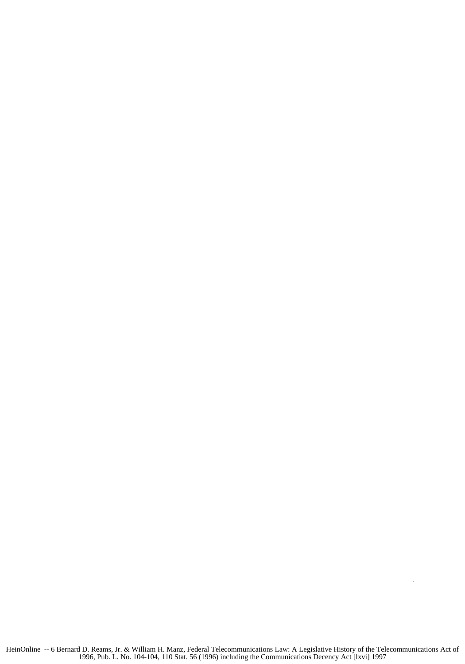HeinOnline -- 6 Bernard D. Reams, Jr. & William H. Manz, Federal Telecommunications Law: A Legislative History of the Telecommunications Act of 1996, Pub. L. No. 104-104, 110 Stat. 56 (1996) including the Communications Decency Act [lxvi] 1997

 $\overline{\phantom{a}}$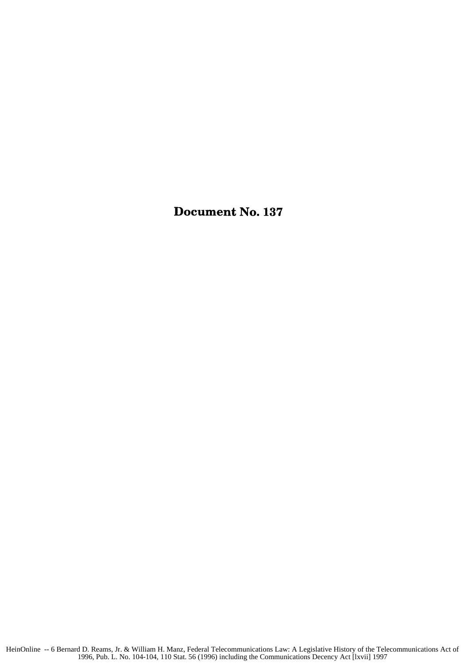Document No. **137**